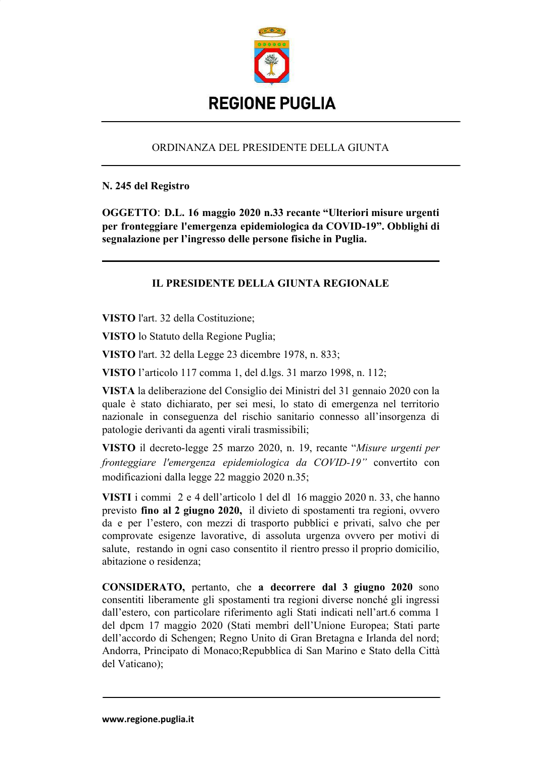

## ORDINANZA DEL PRESIDENTE DELLA GIUNTA

#### N. 245 del Registro

OGGETTO: D.L. 16 maggio 2020 n.33 recante "Ulteriori misure urgenti per fronteggiare l'emergenza epidemiologica da COVID-19". Obblighi di segnalazione per l'ingresso delle persone fisiche in Puglia.

# **IL PRESIDENTE DELLA GIUNTA REGIONALE**

VISTO l'art. 32 della Costituzione;

VISTO lo Statuto della Regione Puglia;

VISTO l'art. 32 della Legge 23 dicembre 1978, n. 833;

VISTO l'articolo 117 comma 1, del d.lgs. 31 marzo 1998, n. 112;

VISTA la deliberazione del Consiglio dei Ministri del 31 gennaio 2020 con la quale è stato dichiarato, per sei mesi, lo stato di emergenza nel territorio nazionale in conseguenza del rischio sanitario connesso all'insorgenza di patologie derivanti da agenti virali trasmissibili;

VISTO il decreto-legge 25 marzo 2020, n. 19, recante "Misure urgenti per fronteggiare l'emergenza epidemiologica da COVID-19" convertito con modificazioni dalla legge 22 maggio 2020 n.35:

**VISTI** i commi  $2e4$  dell'articolo 1 del dl 16 maggio 2020 n. 33, che hanno previsto fino al 2 giugno 2020, il divieto di spostamenti tra regioni, ovvero da e per l'estero, con mezzi di trasporto pubblici e privati, salvo che per comprovate esigenze lavorative, di assoluta urgenza ovvero per motivi di salute, restando in ogni caso consentito il rientro presso il proprio domicilio, abitazione o residenza;

**CONSIDERATO,** pertanto, che a decorrere dal 3 giugno 2020 sono consentiti liberamente gli spostamenti tra regioni diverse nonché gli ingressi dall'estero, con particolare riferimento agli Stati indicati nell'art.6 comma 1 del dpcm 17 maggio 2020 (Stati membri dell'Unione Europea; Stati parte dell'accordo di Schengen; Regno Unito di Gran Bretagna e Irlanda del nord; Andorra, Principato di Monaco; Repubblica di San Marino e Stato della Città del Vaticano);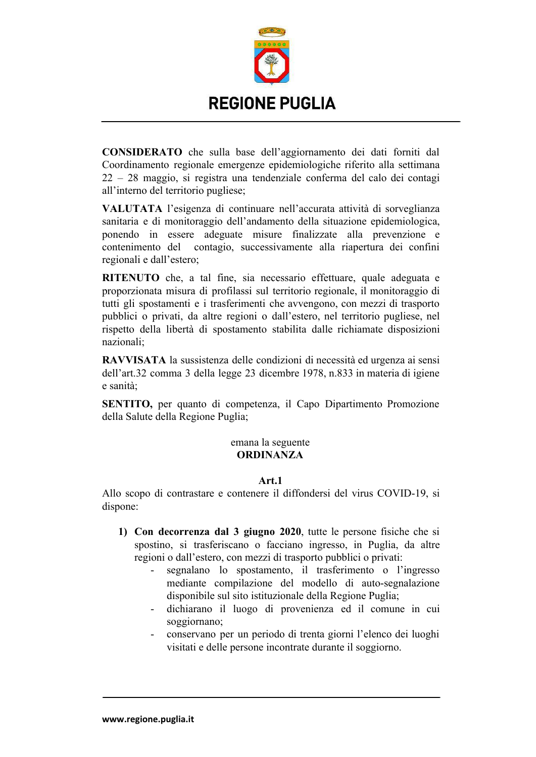

**EONSIDERATO** che sulla base dell'aggiornamento dei dati forniti dal Coordinamento regionale emergenze epidemiologiche riferito alla settimana  $22 - 28$  maggio, si registra una tendenziale conferma del calo dei contagi all'interno del territorio pugliese;

**FALUTATA** l'esigenza di continuare nell'accurata attività di sorveglianza sanitaria e di monitoraggio dell'andamento della situazione epidemiologica, ponendo in essere adeguate misure finalizzate alla prevenzione e contenimento del contagio, successivamente alla riapertura dei confini regionali e dall'estero;

**RITENUTO** che, a tal fine, sia necessario effettuare, quale adeguata e proporzionata misura di profilassi sul territorio regionale, il monitoraggio di tutti gli spostamenti e i trasferimenti che avvengono, con mezzi di trasporto pubblici o privati, da altre regioni o dall'estero, nel territorio pugliese, nel rispetto della libertà di spostamento stabilita dalle richiamate disposizioni nazionali;

**RAVVISATA** la sussistenza delle condizioni di necessità ed urgenza ai sensi dell'art.32 comma 3 della legge 23 dicembre 1978, n.833 in materia di igiene e sanità:

**SENTITO**, per quanto di competenza, il Capo Dipartimento Promozione della Salute della Regione Puglia;

#### emana la seguente **ORDINANZA**

## Art.1

Allo scopo di contrastare e contenere il diffondersi del virus COVID-19, si dispone:

- **6S E/; &'=/..';D9 &9( < \*+@\*;/ #:#:**J 4>449 09 Q93<;@9 V=<=CP9 CP9 <= spostino, si trasferiscano o facciano ingresso, in Puglia, da altre regioni o dall'estero, con mezzi di trasporto pubblici o privati:
	- segnalano lo spostamento, il trasferimento o l'ingresso mediante compilazione del modello di auto-segnalazione disponibile sul sito istituzionale della Regione Puglia;
	- dichiarano il luogo di provenienza ed il comune in cui soggiornano;
	- conservano per un periodo di trenta giorni l'elenco dei luoghi visitati e delle persone incontrate durante il soggiorno.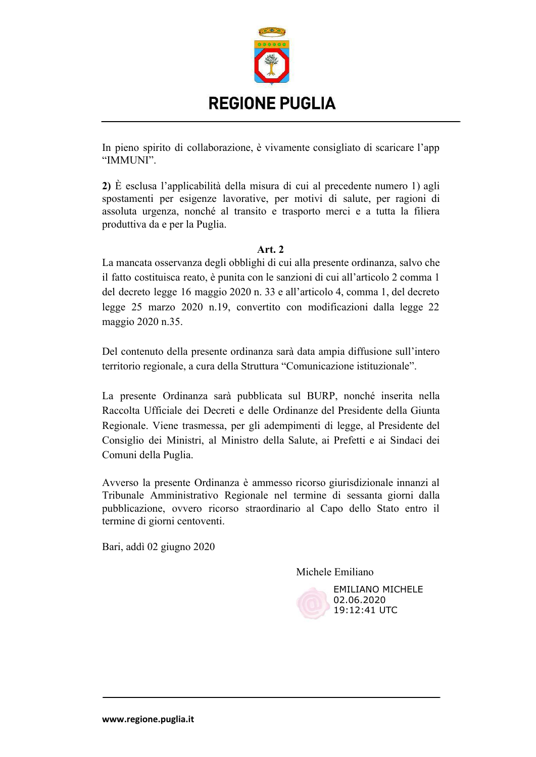

In pieno spirito di collaborazione, è vivamente consigliato di scaricare l'app "IMMUNI".

2) È esclusa l'applicabilità della misura di cui al precedente numero 1) agli spostamenti per esigenze lavorative, per motivi di salute, per ragioni di assoluta urgenza, nonché al transito e trasporto merci e a tutta la filiera produttiva da e per la Puglia.

## Art.  $2$

La mancata osservanza degli obblighi di cui alla presente ordinanza, salvo che il fatto costituisca reato, è punita con le sanzioni di cui all'articolo 2 comma 1 del decreto legge 16 maggio 2020 n. 33 e all'articolo 4, comma 1, del decreto legge 25 marzo 2020 n.19, convertito con modificazioni dalla legge 22 maggio 2020 n.35.

Del contenuto della presente ordinanza sarà data ampia diffusione sull'intero territorio regionale, a cura della Struttura "Comunicazione istituzionale".

La presente Ordinanza sarà pubblicata sul BURP, nonché inserita nella Raccolta Ufficiale dei Decreti e delle Ordinanze del Presidente della Giunta Regionale. Viene trasmessa, per gli adempimenti di legge, al Presidente del Consiglio dei Ministri, al Ministro della Salute, ai Prefetti e ai Sindaci dei Comuni della Puglia.

Avverso la presente Ordinanza è ammesso ricorso giurisdizionale innanzi al Tribunale Amministrativo Regionale nel termine di sessanta giorni dalla pubblicazione, ovvero ricorso straordinario al Capo dello Stato entro il termine di giorni centoventi.

Bari, addì 02 giugno 2020

Michele Emiliano



**EMILIANO MICHELE** 02.06.2020 19:12:41 UTC